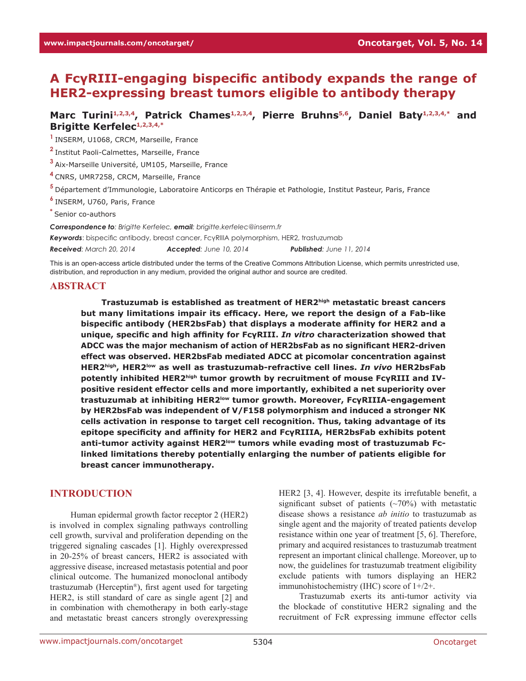# **A FcγRIII-engaging bispecific antibody expands the range of HER2-expressing breast tumors eligible to antibody therapy**

Marc Turini<sup>1,2,3,4</sup>, Patrick Chames<sup>1,2,3,4</sup>, Pierre Bruhns<sup>5,6</sup>, Daniel Baty<sup>1,2,3,4,\*</sup> and **Brigitte Kerfelec1,2,3,4,\***

**<sup>1</sup>**INSERM, U1068, CRCM, Marseille, France

**<sup>2</sup>**Institut Paoli-Calmettes, Marseille, France

**<sup>3</sup>**Aix-Marseille Université, UM105, Marseille, France

**<sup>4</sup>**CNRS, UMR7258, CRCM, Marseille, France

**<sup>5</sup>**Département d'Immunologie, Laboratoire Anticorps en Thérapie et Pathologie, Institut Pasteur, Paris, France

**<sup>6</sup>**INSERM, U760, Paris, France

**\*** Senior co-authors

*Correspondence to: Brigitte Kerfelec, email: brigitte.kerfelec@inserm.fr* 

*Keywords*: bispecific antibody, breast cancer, FcγRIIIA polymorphism, HER2, trastuzumab

*Received: March 20, 2014 Accepted: June 10, 2014 Published: June 11, 2014*

This is an open-access article distributed under the terms of the Creative Commons Attribution License, which permits unrestricted use, distribution, and reproduction in any medium, provided the original author and source are credited.

#### **ABSTRACT**

**Trastuzumab is established as treatment of HER2high metastatic breast cancers but many limitations impair its efficacy. Here, we report the design of a Fab-like bispecific antibody (HER2bsFab) that displays a moderate affinity for HER2 and a unique, specific and high affinity for FcγRIII.** *In vitro* **characterization showed that ADCC was the major mechanism of action of HER2bsFab as no significant HER2-driven effect was observed. HER2bsFab mediated ADCC at picomolar concentration against HER2high, HER2low as well as trastuzumab-refractive cell lines.** *In vivo* **HER2bsFab**  potently inhibited HER2<sup>high</sup> tumor growth by recruitment of mouse FcyRIII and IV**positive resident effector cells and more importantly, exhibited a net superiority over trastuzumab at inhibiting HER2low tumor growth. Moreover, FcγRIIIA-engagement by HER2bsFab was independent of V/F158 polymorphism and induced a stronger NK cells activation in response to target cell recognition. Thus, taking advantage of its epitope specificity and affinity for HER2 and FcγRIIIA, HER2bsFab exhibits potent anti-tumor activity against HER2low tumors while evading most of trastuzumab Fclinked limitations thereby potentially enlarging the number of patients eligible for breast cancer immunotherapy.** 

## **INTRODUCTION**

Human epidermal growth factor receptor 2 (HER2) is involved in complex signaling pathways controlling cell growth, survival and proliferation depending on the triggered signaling cascades [1]. Highly overexpressed in 20-25% of breast cancers, HER2 is associated with aggressive disease, increased metastasis potential and poor clinical outcome. The humanized monoclonal antibody trastuzumab (Herceptin®), first agent used for targeting HER2, is still standard of care as single agent [2] and in combination with chemotherapy in both early-stage and metastatic breast cancers strongly overexpressing

HER2 [3, 4]. However, despite its irrefutable benefit, a significant subset of patients  $(\sim 70\%)$  with metastatic disease shows a resistance *ab initio* to trastuzumab as single agent and the majority of treated patients develop resistance within one year of treatment [5, 6]. Therefore, primary and acquired resistances to trastuzumab treatment represent an important clinical challenge. Moreover, up to now, the guidelines for trastuzumab treatment eligibility exclude patients with tumors displaying an HER2 immunohistochemistry (IHC) score of 1+/2+.

Trastuzumab exerts its anti-tumor activity via the blockade of constitutive HER2 signaling and the recruitment of FcR expressing immune effector cells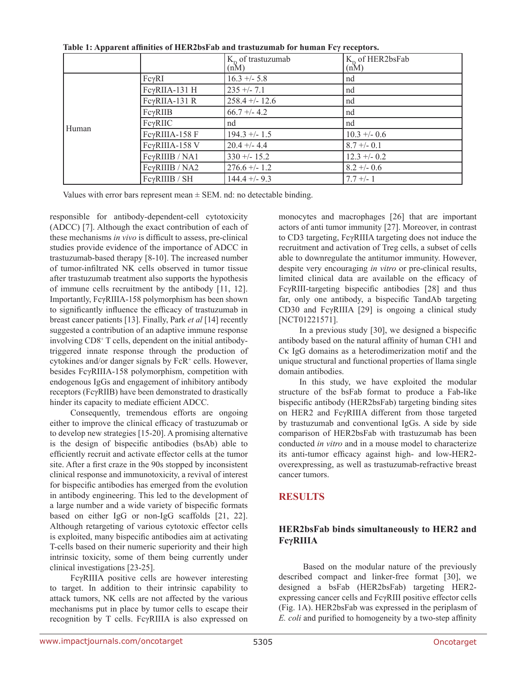|       |                 | $K_{\rm o}$ of trastuzumab<br>(nM) | $K_p$ of HER2bsFab<br>(nM) |
|-------|-----------------|------------------------------------|----------------------------|
| Human | FcγRI           | $16.3 + - 5.8$                     | nd                         |
|       | FcγRIIA-131 H   | $235 + -7.1$                       | nd                         |
|       | FcγRIIA-131 R   | $258.4 + - 12.6$                   | nd                         |
|       | $Fc\gamma RIIB$ | $66.7 + - 4.2$                     | nd                         |
|       | $Fc\gamma RIIC$ | nd                                 | nd                         |
|       | FcγRIIIA-158 F  | $194.3 + - 1.5$                    | $10.3 + - 0.6$             |
|       | FcγRIIIA-158 V  | $20.4 + -4.4$                      | $8.7 + -0.1$               |
|       | FcγRIIIB / NA1  | $330 + - 15.2$                     | $12.3 + -0.2$              |
|       | FcγRIIIB / NA2  | $276.6 + - 1.2$                    | $8.2 + -0.6$               |
|       | FcγRIIIB / SH   | $144.4 + -9.3$                     | $7.7 + - 1$                |

**Table 1: Apparent affinities of HER2bsFab and trastuzumab for human Fcγ receptors.**

Values with error bars represent mean  $\pm$  SEM. nd: no detectable binding.

responsible for antibody-dependent-cell cytotoxicity (ADCC) [7]. Although the exact contribution of each of these mechanisms *in vivo* is difficult to assess, pre-clinical studies provide evidence of the importance of ADCC in trastuzumab-based therapy [8-10]. The increased number of tumor-infiltrated NK cells observed in tumor tissue after trastuzumab treatment also supports the hypothesis of immune cells recruitment by the antibody [11, 12]. Importantly, FcγRIIIA-158 polymorphism has been shown to significantly influence the efficacy of trastuzumab in breast cancer patients [13]. Finally, Park *et al* [14] recently suggested a contribution of an adaptive immune response involving CD8+ T cells, dependent on the initial antibodytriggered innate response through the production of cytokines and/or danger signals by FcR<sup>+</sup> cells. However, besides FcγRIIIA-158 polymorphism, competition with endogenous IgGs and engagement of inhibitory antibody receptors (FcγRIIB) have been demonstrated to drastically hinder its capacity to mediate efficient ADCC.

Consequently, tremendous efforts are ongoing either to improve the clinical efficacy of trastuzumab or to develop new strategies [15-20]. A promising alternative is the design of bispecific antibodies (bsAb) able to efficiently recruit and activate effector cells at the tumor site. After a first craze in the 90s stopped by inconsistent clinical response and immunotoxicity, a revival of interest for bispecific antibodies has emerged from the evolution in antibody engineering. This led to the development of a large number and a wide variety of bispecific formats based on either IgG or non-IgG scaffolds [21, 22]. Although retargeting of various cytotoxic effector cells is exploited, many bispecific antibodies aim at activating T-cells based on their numeric superiority and their high intrinsic toxicity, some of them being currently under clinical investigations [23-25].

FcγRIIIA positive cells are however interesting to target. In addition to their intrinsic capability to attack tumors, NK cells are not affected by the various mechanisms put in place by tumor cells to escape their recognition by T cells. FcγRIIIA is also expressed on monocytes and macrophages [26] that are important actors of anti tumor immunity [27]. Moreover, in contrast to CD3 targeting, FcγRIIIA targeting does not induce the recruitment and activation of Treg cells, a subset of cells able to downregulate the antitumor immunity. However, despite very encouraging *in vitro* or pre-clinical results, limited clinical data are available on the efficacy of FcγRIII-targeting bispecific antibodies [28] and thus far, only one antibody, a bispecific TandAb targeting CD30 and FcγRIIIA [29] is ongoing a clinical study [NCT01221571].

In a previous study [30], we designed a bispecific antibody based on the natural affinity of human CH1 and Cκ IgG domains as a heterodimerization motif and the unique structural and functional properties of llama single domain antibodies.

In this study, we have exploited the modular structure of the bsFab format to produce a Fab-like bispecific antibody (HER2bsFab) targeting binding sites on HER2 and FcγRIIIA different from those targeted by trastuzumab and conventional IgGs. A side by side comparison of HER2bsFab with trastuzumab has been conducted *in vitro* and in a mouse model to characterize its anti-tumor efficacy against high- and low-HER2 overexpressing, as well as trastuzumab-refractive breast cancer tumors.

## **RESULTS**

## **HER2bsFab binds simultaneously to HER2 and FcγRIIIA**

 Based on the modular nature of the previously described compact and linker-free format [30], we designed a bsFab (HER2bsFab) targeting HER2 expressing cancer cells and FcγRIII positive effector cells (Fig. 1A). HER2bsFab was expressed in the periplasm of *E. coli* and purified to homogeneity by a two-step affinity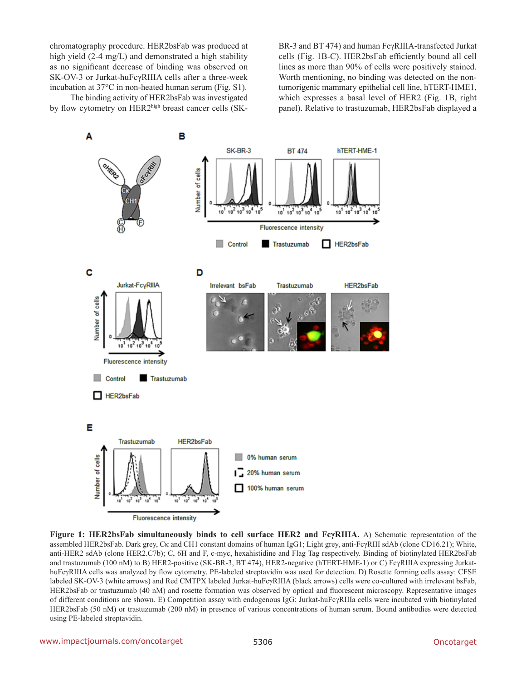chromatography procedure. HER2bsFab was produced at high yield (2-4 mg/L) and demonstrated a high stability as no significant decrease of binding was observed on SK-OV-3 or Jurkat-huFcγRIIIA cells after a three-week incubation at 37°C in non-heated human serum (Fig. S1).

BR-3 and BT 474) and human FcγRIIIA-transfected Jurkat cells (Fig. 1B-C). HER2bsFab efficiently bound all cell lines as more than 90% of cells were positively stained. Worth mentioning, no binding was detected on the nontumorigenic mammary epithelial cell line, hTERT-HME1, which expresses a basal level of HER2 (Fig. 1B, right panel). Relative to trastuzumab, HER2bsFab displayed a

The binding activity of HER2bsFab was investigated by flow cytometry on HER2high breast cancer cells (SK-



**Figure 1: HER2bsFab simultaneously binds to cell surface HER2 and FcγRIIIA.** A) Schematic representation of the assembled HER2bsFab. Dark grey, Cκ and CH1 constant domains of human IgG1; Light grey, anti-FcγRIII sdAb (clone CD16.21); White, anti-HER2 sdAb (clone HER2.C7b); C, 6H and F, c-myc, hexahistidine and Flag Tag respectively. Binding of biotinylated HER2bsFab and trastuzumab (100 nM) to B) HER2-positive (SK-BR-3, BT 474), HER2-negative (hTERT-HME-1) or C) FcγRIIIA expressing JurkathuFcγRIIIA cells was analyzed by flow cytometry. PE-labeled streptavidin was used for detection. D) Rosette forming cells assay: CFSE labeled SK-OV-3 (white arrows) and Red CMTPX labeled Jurkat-huFcγRIIIA (black arrows) cells were co-cultured with irrelevant bsFab, HER2bsFab or trastuzumab (40 nM) and rosette formation was observed by optical and fluorescent microscopy. Representative images of different conditions are shown. E) Competition assay with endogenous IgG: Jurkat-huFcγRIIIa cells were incubated with biotinylated HER2bsFab (50 nM) or trastuzumab (200 nM) in presence of various concentrations of human serum. Bound antibodies were detected using PE-labeled streptavidin.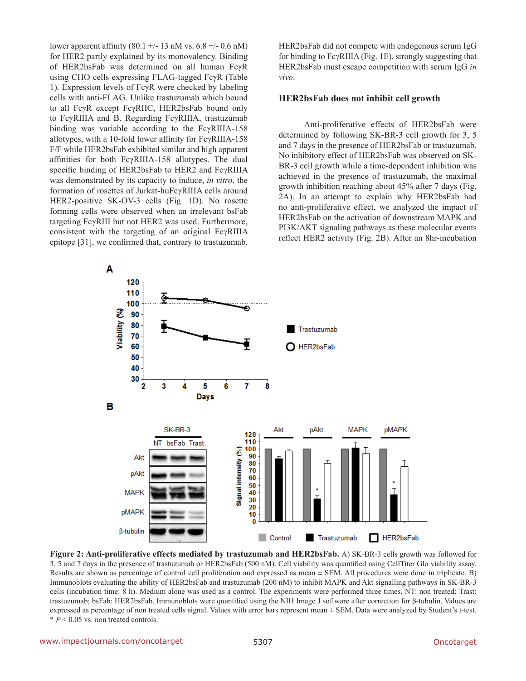lower apparent affinity (80.1 +/- 13 nM vs. 6.8 +/- 0.6 nM) for HER2 partly explained by its monovalency. Binding of HER2bsFab was determined on all human FcγR using CHO cells expressing FLAG-tagged FcγR (Table 1). Expression levels of FcγR were checked by labeling cells with anti-FLAG. Unlike trastuzumab which bound to all FcγR except FcγRIIC, HER2bsFab bound only to FcγRIIIA and B. Regarding FcγRIIIA, trastuzumab binding was variable according to the FcγRIIIA-158 allotypes, with a 10-fold lower affinity for FcγRIIIA-158 F/F while HER2bsFab exhibited similar and high apparent affinities for both FcγRIIIA-158 allotypes. The dual specific binding of HER2bsFab to HER2 and FcγRIIIA was demonstrated by its capacity to induce, *in vitro*, the formation of rosettes of Jurkat-huFcγRIIIA cells around HER2-positive SK-OV-3 cells (Fig. 1D). No rosette forming cells were observed when an irrelevant bsFab targeting FcγRIII but not HER2 was used. Furthermore, consistent with the targeting of an original FcγRIIIA epitope [31], we confirmed that, contrary to trastuzumab,

HER2bsFab did not compete with endogenous serum IgG for binding to FcγRIIIA (Fig. 1E), strongly suggesting that HER2bsFab must escape competition with serum IgG *in vivo*.

#### **HER2bsFab does not inhibit cell growth**

 Anti-proliferative effects of HER2bsFab were determined by following SK-BR-3 cell growth for 3, 5 and 7 days in the presence of HER2bsFab or trastuzumab. No inhibitory effect of HER2bsFab was observed on SK-BR-3 cell growth while a time-dependent inhibition was achieved in the presence of trastuzumab, the maximal growth inhibition reaching about 45% after 7 days (Fig. 2A). In an attempt to explain why HER2bsFab had no anti-proliferative effect, we analyzed the impact of HER2bsFab on the activation of downstream MAPK and PI3K/AKT signaling pathways as these molecular events reflect HER2 activity (Fig. 2B). After an 8hr-incubation



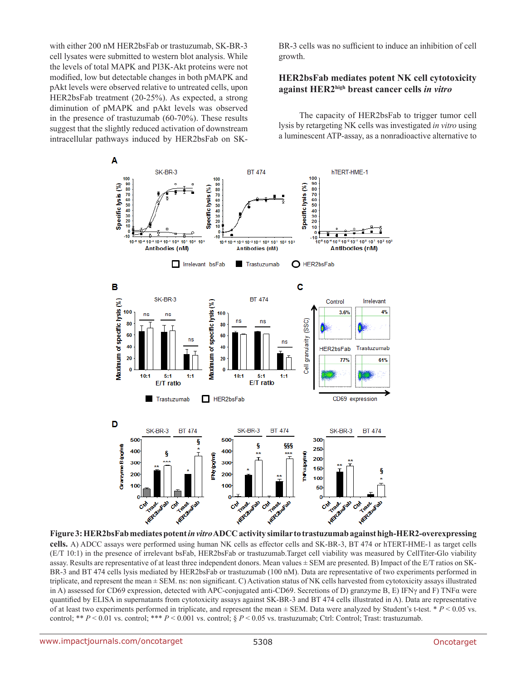with either 200 nM HER2bsFab or trastuzumab, SK-BR-3 cell lysates were submitted to western blot analysis. While the levels of total MAPK and PI3K-Akt proteins were not modified, low but detectable changes in both pMAPK and pAkt levels were observed relative to untreated cells, upon HER2bsFab treatment (20-25%). As expected, a strong diminution of pMAPK and pAkt levels was observed in the presence of trastuzumab (60-70%). These results suggest that the slightly reduced activation of downstream intracellular pathways induced by HER2bsFab on SK- BR-3 cells was no sufficient to induce an inhibition of cell growth.

## **HER2bsFab mediates potent NK cell cytotoxicity against HER2high breast cancer cells** *in vitro*

The capacity of HER2bsFab to trigger tumor cell lysis by retargeting NK cells was investigated *in vitro* using a luminescent ATP-assay, as a nonradioactive alternative to



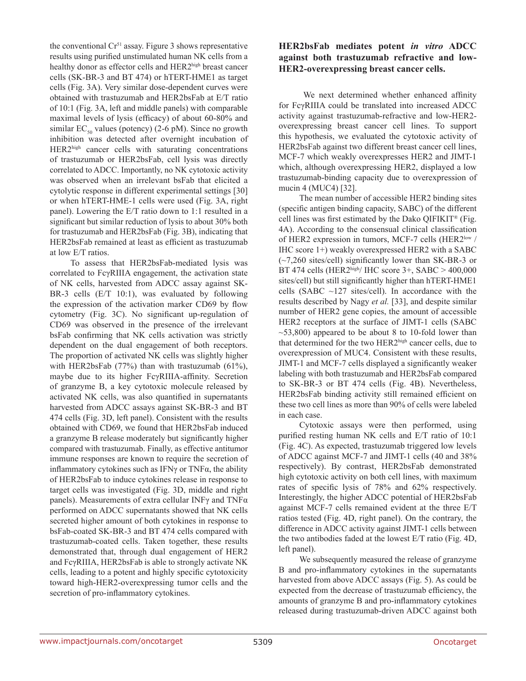the conventional  $Cr<sup>51</sup>$  assay. Figure 3 shows representative results using purified unstimulated human NK cells from a healthy donor as effector cells and HER2high breast cancer cells (SK-BR-3 and BT 474) or hTERT-HME1 as target cells (Fig. 3A). Very similar dose-dependent curves were obtained with trastuzumab and HER2bsFab at E/T ratio of 10:1 (Fig. 3A, left and middle panels) with comparable maximal levels of lysis (efficacy) of about 60-80% and similar  $EC_{50}$  values (potency) (2-6 pM). Since no growth inhibition was detected after overnight incubation of HER2high cancer cells with saturating concentrations of trastuzumab or HER2bsFab, cell lysis was directly correlated to ADCC. Importantly, no NK cytotoxic activity was observed when an irrelevant bsFab that elicited a cytolytic response in different experimental settings [30] or when hTERT-HME-1 cells were used (Fig. 3A, right panel). Lowering the E/T ratio down to 1:1 resulted in a significant but similar reduction of lysis to about 30% both for trastuzumab and HER2bsFab (Fig. 3B), indicating that HER2bsFab remained at least as efficient as trastuzumab at low E/T ratios.

To assess that HER2bsFab-mediated lysis was correlated to FcγRIIIA engagement, the activation state of NK cells, harvested from ADCC assay against SK-BR-3 cells (E/T 10:1), was evaluated by following the expression of the activation marker CD69 by flow cytometry (Fig. 3C). No significant up-regulation of CD69 was observed in the presence of the irrelevant bsFab confirming that NK cells activation was strictly dependent on the dual engagement of both receptors. The proportion of activated NK cells was slightly higher with HER2bsFab (77%) than with trastuzumab (61%), maybe due to its higher FcγRIIIA-affinity. Secretion of granzyme B, a key cytotoxic molecule released by activated NK cells, was also quantified in supernatants harvested from ADCC assays against SK-BR-3 and BT 474 cells (Fig. 3D, left panel). Consistent with the results obtained with CD69, we found that HER2bsFab induced a granzyme B release moderately but significantly higher compared with trastuzumab. Finally, as effective antitumor immune responses are known to require the secretion of inflammatory cytokines such as IFNγ or TNFα, the ability of HER2bsFab to induce cytokines release in response to target cells was investigated (Fig. 3D, middle and right panels). Measurements of extra cellular INFγ and TNFα performed on ADCC supernatants showed that NK cells secreted higher amount of both cytokines in response to bsFab-coated SK-BR-3 and BT 474 cells compared with trastuzumab-coated cells. Taken together, these results demonstrated that, through dual engagement of HER2 and FcγRIIIA, HER2bsFab is able to strongly activate NK cells, leading to a potent and highly specific cytotoxicity toward high-HER2-overexpressing tumor cells and the secretion of pro-inflammatory cytokines.

## **HER2bsFab mediates potent** *in vitro* **ADCC against both trastuzumab refractive and low-HER2-overexpressing breast cancer cells.**

 We next determined whether enhanced affinity for FcγRIIIA could be translated into increased ADCC activity against trastuzumab-refractive and low-HER2 overexpressing breast cancer cell lines. To support this hypothesis, we evaluated the cytotoxic activity of HER2bsFab against two different breast cancer cell lines, MCF-7 which weakly overexpresses HER2 and JIMT-1 which, although overexpressing HER2, displayed a low trastuzumab-binding capacity due to overexpression of mucin 4 (MUC4) [32].

The mean number of accessible HER2 binding sites (specific antigen binding capacity, SABC) of the different cell lines was first estimated by the Dako QIFIKIT® (Fig. 4A). According to the consensual clinical classification of HER2 expression in tumors, MCF-7 cells (HER2<sup>low</sup> / IHC score 1+) weakly overexpressed HER2 with a SABC (~7,260 sites/cell) significantly lower than SK-BR-3 or BT 474 cells (HER2high/ IHC score 3+, SABC > 400,000 sites/cell) but still significantly higher than hTERT-HME1 cells (SABC  $\sim$ 127 sites/cell). In accordance with the results described by Nagy *et al.* [33], and despite similar number of HER2 gene copies, the amount of accessible HER2 receptors at the surface of JIMT-1 cells (SABC  $\sim$ 53,800) appeared to be about 8 to 10-fold lower than that determined for the two HER2high cancer cells, due to overexpression of MUC4. Consistent with these results, JIMT-1 and MCF-7 cells displayed a significantly weaker labeling with both trastuzumab and HER2bsFab compared to SK-BR-3 or BT 474 cells (Fig. 4B). Nevertheless, HER2bsFab binding activity still remained efficient on these two cell lines as more than 90% of cells were labeled in each case.

Cytotoxic assays were then performed, using purified resting human NK cells and E/T ratio of 10:1 (Fig. 4C). As expected, trastuzumab triggered low levels of ADCC against MCF-7 and JIMT-1 cells (40 and 38% respectively). By contrast, HER2bsFab demonstrated high cytotoxic activity on both cell lines, with maximum rates of specific lysis of 78% and 62% respectively. Interestingly, the higher ADCC potential of HER2bsFab against MCF-7 cells remained evident at the three E/T ratios tested (Fig. 4D, right panel). On the contrary, the difference in ADCC activity against JIMT-1 cells between the two antibodies faded at the lowest E/T ratio (Fig. 4D, left panel).

We subsequently measured the release of granzyme B and pro-inflammatory cytokines in the supernatants harvested from above ADCC assays (Fig. 5). As could be expected from the decrease of trastuzumab efficiency, the amounts of granzyme B and pro-inflammatory cytokines released during trastuzumab-driven ADCC against both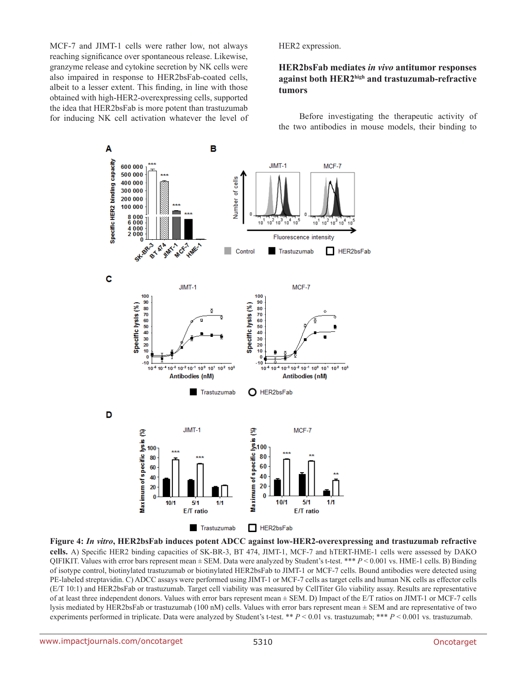MCF-7 and JIMT-1 cells were rather low, not always reaching significance over spontaneous release. Likewise, granzyme release and cytokine secretion by NK cells were also impaired in response to HER2bsFab-coated cells, albeit to a lesser extent. This finding, in line with those obtained with high-HER2-overexpressing cells, supported the idea that HER2bsFab is more potent than trastuzumab for inducing NK cell activation whatever the level of HER2 expression.

## **HER2bsFab mediates** *in vivo* **antitumor responses against both HER2high and trastuzumab-refractive tumors**

Before investigating the therapeutic activity of the two antibodies in mouse models, their binding to



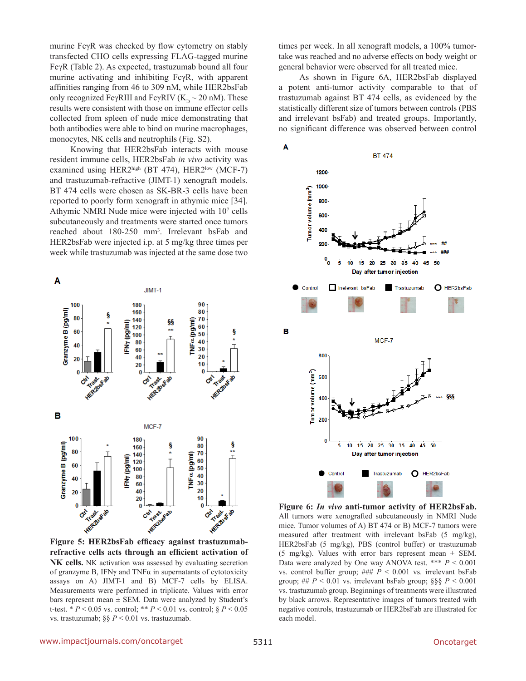murine FcγR was checked by flow cytometry on stably transfected CHO cells expressing FLAG-tagged murine FcγR (Table 2). As expected, trastuzumab bound all four murine activating and inhibiting FcγR, with apparent affinities ranging from 46 to 309 nM, while HER2bsFab only recognized FcγRIII and FcγRIV ( $K_p \sim 20$  nM). These results were consistent with those on immune effector cells collected from spleen of nude mice demonstrating that both antibodies were able to bind on murine macrophages, monocytes, NK cells and neutrophils (Fig. S2).

Knowing that HER2bsFab interacts with mouse resident immune cells, HER2bsFab *in vivo* activity was examined using HER2high (BT 474), HER2low (MCF-7) and trastuzumab-refractive (JIMT-1) xenograft models. BT 474 cells were chosen as SK-BR-3 cells have been reported to poorly form xenograft in athymic mice [34]. Athymic NMRI Nude mice were injected with 10<sup>7</sup> cells subcutaneously and treatments were started once tumors reached about 180-250 mm3 . Irrelevant bsFab and HER2bsFab were injected i.p. at 5 mg/kg three times per week while trastuzumab was injected at the same dose two

JIMT-1

A

times per week. In all xenograft models, a 100% tumortake was reached and no adverse effects on body weight or general behavior were observed for all treated mice.

As shown in Figure 6A, HER2bsFab displayed a potent anti-tumor activity comparable to that of trastuzumab against BT 474 cells, as evidenced by the statistically different size of tumors between controls (PBS and irrelevant bsFab) and treated groups. Importantly, no significant difference was observed between control



**Figure 6:** *In vivo* **anti-tumor activity of HER2bsFab.**  All tumors were xenografted subcutaneously in NMRI Nude mice. Tumor volumes of A) BT 474 or B) MCF-7 tumors were measured after treatment with irrelevant bsFab (5 mg/kg), HER2bsFab (5 mg/kg), PBS (control buffer) or trastuzumab (5 mg/kg). Values with error bars represent mean  $\pm$  SEM. Data were analyzed by One way ANOVA test. \*\*\* *P* < 0.001 vs. control buffer group;  $\# \# \, P \leq 0.001$  vs. irrelevant bsFab group; ##  $P < 0.01$  vs. irrelevant bsFab group;  $\S$ §§  $P < 0.001$ vs. trastuzumab group. Beginnings of treatments were illustrated by black arrows. Representative images of tumors treated with negative controls, trastuzumab or HER2bsFab are illustrated for each model.



**Figure 5: HER2bsFab efficacy against trastuzumabrefractive cells acts through an efficient activation of NK cells.** NK activation was assessed by evaluating secretion of granzyme B, IFN $\gamma$  and TNF $\alpha$  in supernatants of cytotoxicity assays on A) JIMT-1 and B) MCF-7 cells by ELISA. Measurements were performed in triplicate. Values with error bars represent mean  $\pm$  SEM. Data were analyzed by Student's t-test. \* *P* < 0.05 vs. control; \*\* *P* < 0.01 vs. control; § *P* < 0.05 vs. trastuzumab; §§ *P* < 0.01 vs. trastuzumab.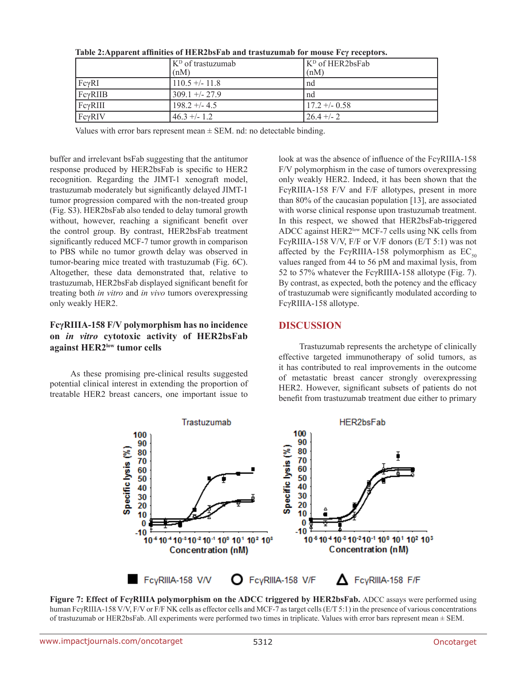|                  | (K <sup>D</sup> of trastuzumab<br>(nM) | K <sup>D</sup> of HER2bsFab<br>(nM) |
|------------------|----------------------------------------|-------------------------------------|
| FcvRI            | $110.5 + - 11.8$                       | nd                                  |
| $Fc\gamma R IIB$ | $309.1 + -27.9$                        | nd                                  |
| $Fc\gamma RIII$  | $198.2 + - 4.5$                        | $17.2 + -0.58$                      |
| FcyRIV           | $46.3 + (-1.2)$                        | $126.4 + - 2$                       |

**Table 2:Apparent affinities of HER2bsFab and trastuzumab for mouse Fcγ receptors.** 

Values with error bars represent mean  $\pm$  SEM. nd: no detectable binding.

buffer and irrelevant bsFab suggesting that the antitumor response produced by HER2bsFab is specific to HER2 recognition. Regarding the JIMT-1 xenograft model, trastuzumab moderately but significantly delayed JIMT-1 tumor progression compared with the non-treated group (Fig. S3). HER2bsFab also tended to delay tumoral growth without, however, reaching a significant benefit over the control group. By contrast, HER2bsFab treatment significantly reduced MCF-7 tumor growth in comparison to PBS while no tumor growth delay was observed in tumor-bearing mice treated with trastuzumab (Fig. 6C). Altogether, these data demonstrated that, relative to trastuzumab, HER2bsFab displayed significant benefit for treating both *in vitro* and *in vivo* tumors overexpressing only weakly HER2.

## **FcγRIIIA-158 F/V polymorphism has no incidence on** *in vitro* **cytotoxic activity of HER2bsFab against HER2low tumor cells**

As these promising pre-clinical results suggested potential clinical interest in extending the proportion of treatable HER2 breast cancers, one important issue to

look at was the absence of influence of the FcγRIIIA-158 F/V polymorphism in the case of tumors overexpressing only weakly HER2. Indeed, it has been shown that the FcγRIIIA-158 F/V and F/F allotypes, present in more than 80% of the caucasian population [13], are associated with worse clinical response upon trastuzumab treatment. In this respect, we showed that HER2bsFab-triggered ADCC against HER2low MCF-7 cells using NK cells from FcγRIIIA-158 V/V, F/F or V/F donors (E/T 5:1) was not affected by the FcγRIIIA-158 polymorphism as  $EC_{50}$ values ranged from 44 to 56 pM and maximal lysis, from 52 to 57% whatever the FcγRIIIA-158 allotype (Fig. 7). By contrast, as expected, both the potency and the efficacy of trastuzumab were significantly modulated according to FcγRIIIA-158 allotype.

## **DISCUSSION**

Trastuzumab represents the archetype of clinically effective targeted immunotherapy of solid tumors, as it has contributed to real improvements in the outcome of metastatic breast cancer strongly overexpressing HER2. However, significant subsets of patients do not benefit from trastuzumab treatment due either to primary



**Figure 7: Effect of FcγRIIIA polymorphism on the ADCC triggered by HER2bsFab.** ADCC assays were performed using human FcγRIIIA-158 V/V, F/V or F/F NK cells as effector cells and MCF-7 as target cells (E/T 5:1) in the presence of various concentrations of trastuzumab or HER2bsFab. All experiments were performed two times in triplicate. Values with error bars represent mean ± SEM.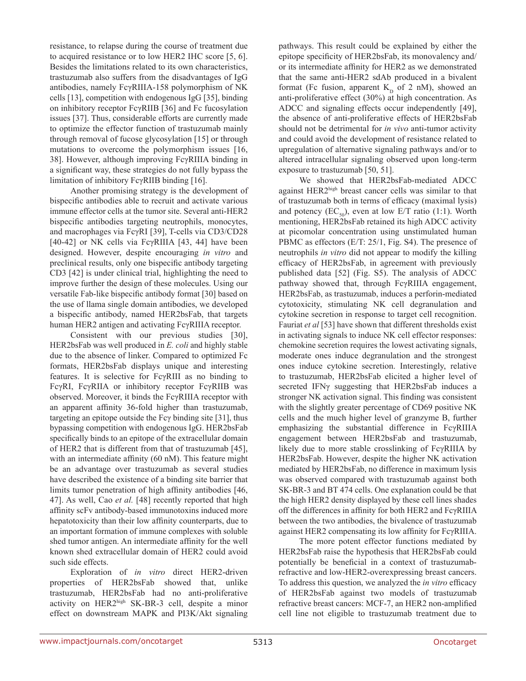resistance, to relapse during the course of treatment due to acquired resistance or to low HER2 IHC score [5, 6]. Besides the limitations related to its own characteristics, trastuzumab also suffers from the disadvantages of IgG antibodies, namely FcγRIIIA-158 polymorphism of NK cells [13], competition with endogenous IgG [35], binding on inhibitory receptor FcγRIIB [36] and Fc fucosylation issues [37]. Thus, considerable efforts are currently made to optimize the effector function of trastuzumab mainly through removal of fucose glycosylation [15] or through mutations to overcome the polymorphism issues [16, 38]. However, although improving FcγRIIIA binding in a significant way, these strategies do not fully bypass the limitation of inhibitory FcγRIIB binding [16].

Another promising strategy is the development of bispecific antibodies able to recruit and activate various immune effector cells at the tumor site. Several anti-HER2 bispecific antibodies targeting neutrophils, monocytes, and macrophages via FcγRI [39], T-cells via CD3/CD28 [40-42] or NK cells via FcγRIIIA [43, 44] have been designed. However, despite encouraging *in vitro* and preclinical results, only one bispecific antibody targeting CD3 [42] is under clinical trial, highlighting the need to improve further the design of these molecules. Using our versatile Fab-like bispecific antibody format [30] based on the use of llama single domain antibodies, we developed a bispecific antibody, named HER2bsFab, that targets human HER2 antigen and activating FcγRIIIA receptor.

Consistent with our previous studies [30], HER2bsFab was well produced in *E. coli* and highly stable due to the absence of linker. Compared to optimized Fc formats, HER2bsFab displays unique and interesting features. It is selective for FcγRIII as no binding to FcγRI, FcγRIIA or inhibitory receptor FcγRIIB was observed. Moreover, it binds the FcγRIIIA receptor with an apparent affinity 36-fold higher than trastuzumab, targeting an epitope outside the Fcγ binding site [31], thus bypassing competition with endogenous IgG. HER2bsFab specifically binds to an epitope of the extracellular domain of HER2 that is different from that of trastuzumab [45], with an intermediate affinity (60 nM). This feature might be an advantage over trastuzumab as several studies have described the existence of a binding site barrier that limits tumor penetration of high affinity antibodies [46, 47]. As well, Cao *et al.* [48] recently reported that high affinity scFv antibody-based immunotoxins induced more hepatotoxicity than their low affinity counterparts, due to an important formation of immune complexes with soluble shed tumor antigen. An intermediate affinity for the well known shed extracellular domain of HER2 could avoid such side effects.

Exploration of *in vitro* direct HER2-driven properties of HER2bsFab showed that, unlike trastuzumab, HER2bsFab had no anti-proliferative activity on HER2high SK-BR-3 cell, despite a minor effect on downstream MAPK and PI3K/Akt signaling pathways. This result could be explained by either the epitope specificity of HER2bsFab, its monovalency and/ or its intermediate affinity for HER2 as we demonstrated that the same anti-HER2 sdAb produced in a bivalent format (Fc fusion, apparent  $K_p$  of 2 nM), showed an anti-proliferative effect (30%) at high concentration. As ADCC and signaling effects occur independently [49], the absence of anti-proliferative effects of HER2bsFab should not be detrimental for *in vivo* anti-tumor activity and could avoid the development of resistance related to upregulation of alternative signaling pathways and/or to altered intracellular signaling observed upon long-term exposure to trastuzumab [50, 51].

We showed that HER2bsFab-mediated ADCC against HER2high breast cancer cells was similar to that of trastuzumab both in terms of efficacy (maximal lysis) and potency (EC<sub>50</sub>), even at low E/T ratio (1:1). Worth mentioning, HER2bsFab retained its high ADCC activity at picomolar concentration using unstimulated human PBMC as effectors (E/T: 25/1, Fig. S4). The presence of neutrophils *in vitro* did not appear to modify the killing efficacy of HER2bsFab, in agreement with previously published data [52] (Fig. S5). The analysis of ADCC pathway showed that, through FcγRIIIA engagement, HER2bsFab, as trastuzumab, induces a perforin-mediated cytotoxicity, stimulating NK cell degranulation and cytokine secretion in response to target cell recognition. Fauriat *et al* [53] have shown that different thresholds exist in activating signals to induce NK cell effector responses: chemokine secretion requires the lowest activating signals, moderate ones induce degranulation and the strongest ones induce cytokine secretion. Interestingly, relative to trastuzumab, HER2bsFab elicited a higher level of secreted IFNγ suggesting that HER2bsFab induces a stronger NK activation signal. This finding was consistent with the slightly greater percentage of CD69 positive NK cells and the much higher level of granzyme B, further emphasizing the substantial difference in FcγRIIIA engagement between HER2bsFab and trastuzumab, likely due to more stable crosslinking of FcγRIIIA by HER2bsFab. However, despite the higher NK activation mediated by HER2bsFab, no difference in maximum lysis was observed compared with trastuzumab against both SK-BR-3 and BT 474 cells. One explanation could be that the high HER2 density displayed by these cell lines shades off the differences in affinity for both HER2 and FcγRIIIA between the two antibodies, the bivalence of trastuzumab against HER2 compensating its low affinity for FcγRIIIA.

The more potent effector functions mediated by HER2bsFab raise the hypothesis that HER2bsFab could potentially be beneficial in a context of trastuzumabrefractive and low-HER2-overexpressing breast cancers. To address this question, we analyzed the *in vitro* efficacy of HER2bsFab against two models of trastuzumab refractive breast cancers: MCF-7, an HER2 non-amplified cell line not eligible to trastuzumab treatment due to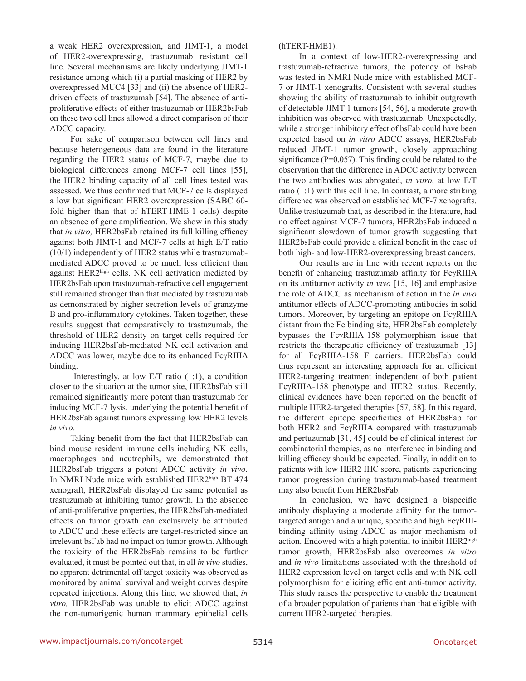a weak HER2 overexpression, and JIMT-1, a model of HER2-overexpressing, trastuzumab resistant cell line. Several mechanisms are likely underlying JIMT-1 resistance among which (i) a partial masking of HER2 by overexpressed MUC4 [33] and (ii) the absence of HER2 driven effects of trastuzumab [54]. The absence of antiproliferative effects of either trastuzumab or HER2bsFab on these two cell lines allowed a direct comparison of their ADCC capacity.

For sake of comparison between cell lines and because heterogeneous data are found in the literature regarding the HER2 status of MCF-7, maybe due to biological differences among MCF-7 cell lines [55], the HER2 binding capacity of all cell lines tested was assessed. We thus confirmed that MCF-7 cells displayed a low but significant HER2 overexpression (SABC 60 fold higher than that of hTERT-HME-1 cells) despite an absence of gene amplification. We show in this study that *in vitro,* HER2bsFab retained its full killing efficacy against both JIMT-1 and MCF-7 cells at high E/T ratio (10/1) independently of HER2 status while trastuzumabmediated ADCC proved to be much less efficient than against HER2high cells. NK cell activation mediated by HER2bsFab upon trastuzumab-refractive cell engagement still remained stronger than that mediated by trastuzumab as demonstrated by higher secretion levels of granzyme B and pro-inflammatory cytokines. Taken together, these results suggest that comparatively to trastuzumab, the threshold of HER2 density on target cells required for inducing HER2bsFab-mediated NK cell activation and ADCC was lower, maybe due to its enhanced FcγRIIIA binding.

Interestingly, at low  $E/T$  ratio  $(1:1)$ , a condition closer to the situation at the tumor site, HER2bsFab still remained significantly more potent than trastuzumab for inducing MCF-7 lysis, underlying the potential benefit of HER2bsFab against tumors expressing low HER2 levels *in vivo*.

Taking benefit from the fact that HER2bsFab can bind mouse resident immune cells including NK cells, macrophages and neutrophils, we demonstrated that HER2bsFab triggers a potent ADCC activity *in vivo*. In NMRI Nude mice with established HER2high BT 474 xenograft, HER2bsFab displayed the same potential as trastuzumab at inhibiting tumor growth. In the absence of anti-proliferative properties, the HER2bsFab-mediated effects on tumor growth can exclusively be attributed to ADCC and these effects are target-restricted since an irrelevant bsFab had no impact on tumor growth. Although the toxicity of the HER2bsFab remains to be further evaluated, it must be pointed out that, in all *in vivo* studies, no apparent detrimental off target toxicity was observed as monitored by animal survival and weight curves despite repeated injections. Along this line, we showed that, *in vitro,* HER2bsFab was unable to elicit ADCC against the non-tumorigenic human mammary epithelial cells

#### (hTERT-HME1).

In a context of low-HER2-overexpressing and trastuzumab-refractive tumors, the potency of bsFab was tested in NMRI Nude mice with established MCF-7 or JIMT-1 xenografts. Consistent with several studies showing the ability of trastuzumab to inhibit outgrowth of detectable JIMT-1 tumors [54, 56], a moderate growth inhibition was observed with trastuzumab. Unexpectedly, while a stronger inhibitory effect of bsFab could have been expected based on *in vitro* ADCC assays, HER2bsFab reduced JIMT-1 tumor growth, closely approaching significance (P=0.057). This finding could be related to the observation that the difference in ADCC activity between the two antibodies was abrogated, *in vitro*, at low E/T ratio (1:1) with this cell line. In contrast, a more striking difference was observed on established MCF-7 xenografts. Unlike trastuzumab that, as described in the literature, had no effect against MCF-7 tumors, HER2bsFab induced a significant slowdown of tumor growth suggesting that HER2bsFab could provide a clinical benefit in the case of both high- and low-HER2-overexpressing breast cancers.

Our results are in line with recent reports on the benefit of enhancing trastuzumab affinity for FcγRIIIA on its antitumor activity *in vivo* [15, 16] and emphasize the role of ADCC as mechanism of action in the *in vivo* antitumor effects of ADCC-promoting antibodies in solid tumors. Moreover, by targeting an epitope on FcγRIIIA distant from the Fc binding site, HER2bsFab completely bypasses the FcγRIIIA-158 polymorphism issue that restricts the therapeutic efficiency of trastuzumab [13] for all FcγRIIIA-158 F carriers. HER2bsFab could thus represent an interesting approach for an efficient HER2-targeting treatment independent of both patient FcγRIIIA-158 phenotype and HER2 status. Recently, clinical evidences have been reported on the benefit of multiple HER2-targeted therapies [57, 58]. In this regard, the different epitope specificities of HER2bsFab for both HER2 and FcγRIIIA compared with trastuzumab and pertuzumab [31, 45] could be of clinical interest for combinatorial therapies, as no interference in binding and killing efficacy should be expected. Finally, in addition to patients with low HER2 IHC score, patients experiencing tumor progression during trastuzumab-based treatment may also benefit from HER2bsFab.

In conclusion, we have designed a bispecific antibody displaying a moderate affinity for the tumortargeted antigen and a unique, specific and high FcγRIIIbinding affinity using ADCC as major mechanism of action. Endowed with a high potential to inhibit HER2high tumor growth, HER2bsFab also overcomes *in vitro* and *in vivo* limitations associated with the threshold of HER2 expression level on target cells and with NK cell polymorphism for eliciting efficient anti-tumor activity. This study raises the perspective to enable the treatment of a broader population of patients than that eligible with current HER2-targeted therapies.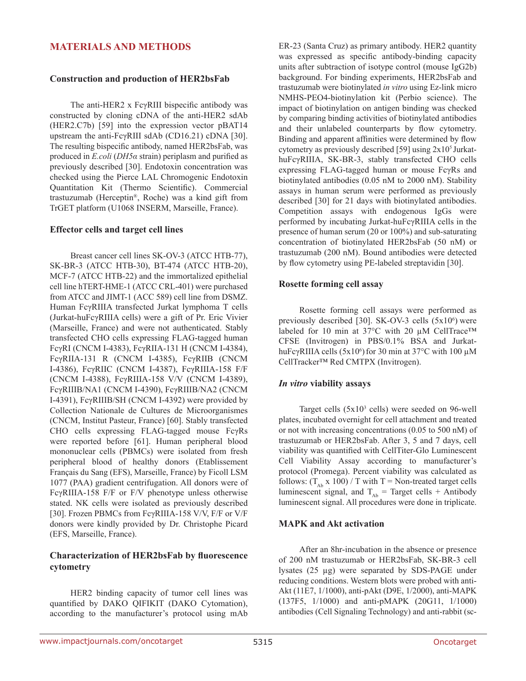## **MATERIALS AND METHODS**

#### **Construction and production of HER2bsFab**

The anti-HER2 x FcγRIII bispecific antibody was constructed by cloning cDNA of the anti-HER2 sdAb (HER2.C7b) [59] into the expression vector pBAT14 upstream the anti-FcγRIII sdAb (CD16.21) cDNA [30]. The resulting bispecific antibody, named HER2bsFab, was produced in *E.coli* (*DH5α* strain) periplasm and purified as previously described [30]. Endotoxin concentration was checked using the Pierce LAL Chromogenic Endotoxin Quantitation Kit (Thermo Scientific). Commercial trastuzumab (Herceptin®, Roche) was a kind gift from TrGET platform (U1068 INSERM, Marseille, France).

#### **Effector cells and target cell lines**

Breast cancer cell lines SK-OV-3 (ATCC HTB-77), SK-BR-3 (ATCC HTB-30), BT-474 (ATCC HTB-20), MCF-7 (ATCC HTB-22) and the immortalized epithelial cell line hTERT-HME-1 (ATCC CRL-401) were purchased from ATCC and JIMT-1 (ACC 589) cell line from DSMZ. Human FcγRIIIA transfected Jurkat lymphoma T cells (Jurkat-huFcγRIIIA cells) were a gift of Pr. Eric Vivier (Marseille, France) and were not authenticated. Stably transfected CHO cells expressing FLAG-tagged human FcγRI (CNCM I-4383), FcγRIIA-131 H (CNCM I-4384), FcγRIIA-131 R (CNCM I-4385), FcγRIIB (CNCM I-4386), FcγRIIC (CNCM I-4387), FcγRIIIA-158 F/F (CNCM I-4388), FcγRIIIA-158 V/V (CNCM I-4389), FcγRIIIB/NA1 (CNCM I-4390), FcγRIIIB/NA2 (CNCM I-4391), FcγRIIIB/SH (CNCM I-4392) were provided by Collection Nationale de Cultures de Microorganismes (CNCM, Institut Pasteur, France) [60]. Stably transfected CHO cells expressing FLAG-tagged mouse FcγRs were reported before [61]. Human peripheral blood mononuclear cells (PBMCs) were isolated from fresh peripheral blood of healthy donors (Etablissement Français du Sang (EFS), Marseille, France) by Ficoll LSM 1077 (PAA) gradient centrifugation. All donors were of FcγRIIIA-158 F/F or F/V phenotype unless otherwise stated. NK cells were isolated as previously described [30]. Frozen PBMCs from FcγRIIIA-158 V/V, F/F or V/F donors were kindly provided by Dr. Christophe Picard (EFS, Marseille, France).

## **Characterization of HER2bsFab by fluorescence cytometry**

HER2 binding capacity of tumor cell lines was quantified by DAKO QIFIKIT (DAKO Cytomation), according to the manufacturer's protocol using mAb ER-23 (Santa Cruz) as primary antibody. HER2 quantity was expressed as specific antibody-binding capacity units after subtraction of isotype control (mouse IgG2b) background. For binding experiments, HER2bsFab and trastuzumab were biotinylated *in vitro* using Ez-link micro NMHS-PEO4-biotinylation kit (Perbio science). The impact of biotinylation on antigen binding was checked by comparing binding activities of biotinylated antibodies and their unlabeled counterparts by flow cytometry. Binding and apparent affinities were determined by flow cytometry as previously described [59] using  $2x10^5$  JurkathuFcγRIIIA, SK-BR-3, stably transfected CHO cells expressing FLAG-tagged human or mouse FcγRs and biotinylated antibodies (0.05 nM to 2000 nM). Stability assays in human serum were performed as previously described [30] for 21 days with biotinylated antibodies. Competition assays with endogenous IgGs were performed by incubating Jurkat-huFcγRIIIA cells in the presence of human serum (20 or 100%) and sub-saturating concentration of biotinylated HER2bsFab (50 nM) or trastuzumab (200 nM). Bound antibodies were detected by flow cytometry using PE-labeled streptavidin [30].

#### **Rosette forming cell assay**

Rosette forming cell assays were performed as previously described [30]. SK-OV-3 cells  $(5x10<sup>6</sup>)$  were labeled for 10 min at 37°C with 20 µM CellTrace™ CFSE (Invitrogen) in PBS/0.1% BSA and JurkathuFcγRIIIA cells  $(5x10<sup>6</sup>)$  for 30 min at 37°C with 100 μM CellTracker™ Red CMTPX (Invitrogen).

## *In vitro* **viability assays**

Target cells  $(5x10<sup>3</sup>$  cells) were seeded on 96-well plates, incubated overnight for cell attachment and treated or not with increasing concentrations (0.05 to 500 nM) of trastuzumab or HER2bsFab. After 3, 5 and 7 days, cell viability was quantified with CellTiter-Glo Luminescent Cell Viability Assay according to manufacturer's protocol (Promega). Percent viability was calculated as follows:  $(T_{\text{Ab}} \times 100)$  / T with T = Non-treated target cells luminescent signal, and  $T_{\text{Ab}}$  = Target cells + Antibody luminescent signal. All procedures were done in triplicate.

#### **MAPK and Akt activation**

After an 8hr-incubation in the absence or presence of 200 nM trastuzumab or HER2bsFab, SK-BR-3 cell lysates (25 µg) were separated by SDS-PAGE under reducing conditions. Western blots were probed with anti-Akt (11E7, 1/1000), anti-pAkt (D9E, 1/2000), anti-MAPK (137F5, 1/1000) and anti-pMAPK (20G11, 1/1000) antibodies (Cell Signaling Technology) and anti-rabbit (sc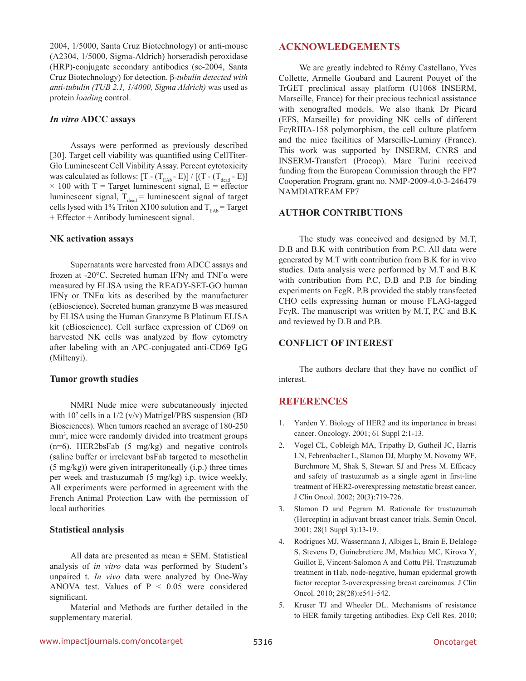2004, 1/5000, Santa Cruz Biotechnology) or anti-mouse (A2304, 1/5000, Sigma-Aldrich) horseradish peroxidase (HRP)-conjugate secondary antibodies (sc-2004, Santa Cruz Biotechnology) for detection. β-*tubulin detected with anti-tubulin (TUB 2.1, 1/4000, Sigma Aldrich)* was used as protein *loading* control.

#### *In vitro* **ADCC assays**

Assays were performed as previously described [30]. Target cell viability was quantified using CellTiter-Glo Luminescent Cell Viability Assay. Percent cytotoxicity was calculated as follows:  $[T - (T_{EAb} - E)] / [(T - (T_{dead} - E)]$  $\times$  100 with T = Target luminescent signal, E = effector luminescent signal,  $T_{\text{dead}}$  = luminescent signal of target cells lysed with 1% Triton X100 solution and  $T_{FAb}$  = Target + Effector + Antibody luminescent signal.

## **NK activation assays**

Supernatants were harvested from ADCC assays and frozen at -20°C. Secreted human IFNγ and TNFα were measured by ELISA using the READY-SET-GO human IFNγ or TNFα kits as described by the manufacturer (eBioscience). Secreted human granzyme B was measured by ELISA using the Human Granzyme B Platinum ELISA kit (eBioscience). Cell surface expression of CD69 on harvested NK cells was analyzed by flow cytometry after labeling with an APC-conjugated anti-CD69 IgG (Miltenyi).

## **Tumor growth studies**

NMRI Nude mice were subcutaneously injected with 10<sup>7</sup> cells in a 1/2 (v/v) Matrigel/PBS suspension (BD Biosciences). When tumors reached an average of 180-250 mm<sup>3</sup>, mice were randomly divided into treatment groups (n=6). HER2bsFab (5 mg/kg) and negative controls (saline buffer or irrelevant bsFab targeted to mesothelin (5 mg/kg)) were given intraperitoneally (i.p.) three times per week and trastuzumab (5 mg/kg) i.p. twice weekly. All experiments were performed in agreement with the French Animal Protection Law with the permission of local authorities

## **Statistical analysis**

All data are presented as mean  $\pm$  SEM. Statistical analysis of *in vitro* data was performed by Student's unpaired t. *In vivo* data were analyzed by One-Way ANOVA test. Values of  $P < 0.05$  were considered significant.

Material and Methods are further detailed in the supplementary material.

## **ACKNOWLEDGEMENTS**

We are greatly indebted to Rémy Castellano, Yves Collette, Armelle Goubard and Laurent Pouyet of the TrGET preclinical assay platform (U1068 INSERM, Marseille, France) for their precious technical assistance with xenografted models. We also thank Dr Picard (EFS, Marseille) for providing NK cells of different FcγRIIIA-158 polymorphism, the cell culture platform and the mice facilities of Marseille-Luminy (France). This work was supported by INSERM, CNRS and INSERM-Transfert (Procop). Marc Turini received funding from the European Commission through the FP7 Cooperation Program, grant no. NMP-2009-4.0-3-246479 NAMDIATREAM FP7

## **AUTHOR CONTRIBUTIONS**

The study was conceived and designed by M.T, D.B and B.K with contribution from P.C. All data were generated by M.T with contribution from B.K for in vivo studies. Data analysis were performed by M.T and B.K with contribution from P.C, D.B and P.B for binding experiments on FcgR. P.B provided the stably transfected CHO cells expressing human or mouse FLAG-tagged FcγR. The manuscript was written by M.T, P.C and B.K and reviewed by D.B and P.B.

## **CONFLICT OF INTEREST**

The authors declare that they have no conflict of interest.

## **REFERENCES**

- 1. Yarden Y. Biology of HER2 and its importance in breast cancer. Oncology. 2001; 61 Suppl 2:1-13.
- 2. Vogel CL, Cobleigh MA, Tripathy D, Gutheil JC, Harris LN, Fehrenbacher L, Slamon DJ, Murphy M, Novotny WF, Burchmore M, Shak S, Stewart SJ and Press M. Efficacy and safety of trastuzumab as a single agent in first-line treatment of HER2-overexpressing metastatic breast cancer. J Clin Oncol. 2002; 20(3):719-726.
- 3. Slamon D and Pegram M. Rationale for trastuzumab (Herceptin) in adjuvant breast cancer trials. Semin Oncol. 2001; 28(1 Suppl 3):13-19.
- 4. Rodrigues MJ, Wassermann J, Albiges L, Brain E, Delaloge S, Stevens D, Guinebretiere JM, Mathieu MC, Kirova Y, Guillot E, Vincent-Salomon A and Cottu PH. Trastuzumab treatment in t1ab, node-negative, human epidermal growth factor receptor 2-overexpressing breast carcinomas. J Clin Oncol. 2010; 28(28):e541-542.
- 5. Kruser TJ and Wheeler DL. Mechanisms of resistance to HER family targeting antibodies. Exp Cell Res. 2010;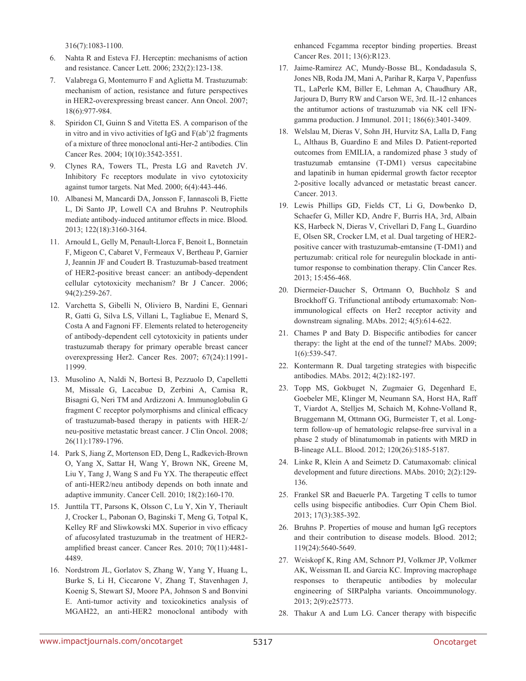316(7):1083-1100.

- 6. Nahta R and Esteva FJ. Herceptin: mechanisms of action and resistance. Cancer Lett. 2006; 232(2):123-138.
- 7. Valabrega G, Montemurro F and Aglietta M. Trastuzumab: mechanism of action, resistance and future perspectives in HER2-overexpressing breast cancer. Ann Oncol. 2007; 18(6):977-984.
- 8. Spiridon CI, Guinn S and Vitetta ES. A comparison of the in vitro and in vivo activities of IgG and F(ab')2 fragments of a mixture of three monoclonal anti-Her-2 antibodies. Clin Cancer Res. 2004; 10(10):3542-3551.
- 9. Clynes RA, Towers TL, Presta LG and Ravetch JV. Inhibitory Fc receptors modulate in vivo cytotoxicity against tumor targets. Nat Med. 2000; 6(4):443-446.
- 10. Albanesi M, Mancardi DA, Jonsson F, Iannascoli B, Fiette L, Di Santo JP, Lowell CA and Bruhns P. Neutrophils mediate antibody-induced antitumor effects in mice. Blood. 2013; 122(18):3160-3164.
- 11. Arnould L, Gelly M, Penault-Llorca F, Benoit L, Bonnetain F, Migeon C, Cabaret V, Fermeaux V, Bertheau P, Garnier J, Jeannin JF and Coudert B. Trastuzumab-based treatment of HER2-positive breast cancer: an antibody-dependent cellular cytotoxicity mechanism? Br J Cancer. 2006; 94(2):259-267.
- 12. Varchetta S, Gibelli N, Oliviero B, Nardini E, Gennari R, Gatti G, Silva LS, Villani L, Tagliabue E, Menard S, Costa A and Fagnoni FF. Elements related to heterogeneity of antibody-dependent cell cytotoxicity in patients under trastuzumab therapy for primary operable breast cancer overexpressing Her2. Cancer Res. 2007; 67(24):11991- 11999.
- 13. Musolino A, Naldi N, Bortesi B, Pezzuolo D, Capelletti M, Missale G, Laccabue D, Zerbini A, Camisa R, Bisagni G, Neri TM and Ardizzoni A. Immunoglobulin G fragment C receptor polymorphisms and clinical efficacy of trastuzumab-based therapy in patients with HER-2/ neu-positive metastatic breast cancer. J Clin Oncol. 2008; 26(11):1789-1796.
- 14. Park S, Jiang Z, Mortenson ED, Deng L, Radkevich-Brown O, Yang X, Sattar H, Wang Y, Brown NK, Greene M, Liu Y, Tang J, Wang S and Fu YX. The therapeutic effect of anti-HER2/neu antibody depends on both innate and adaptive immunity. Cancer Cell. 2010; 18(2):160-170.
- 15. Junttila TT, Parsons K, Olsson C, Lu Y, Xin Y, Theriault J, Crocker L, Pabonan O, Baginski T, Meng G, Totpal K, Kelley RF and Sliwkowski MX. Superior in vivo efficacy of afucosylated trastuzumab in the treatment of HER2 amplified breast cancer. Cancer Res. 2010; 70(11):4481- 4489.
- 16. Nordstrom JL, Gorlatov S, Zhang W, Yang Y, Huang L, Burke S, Li H, Ciccarone V, Zhang T, Stavenhagen J, Koenig S, Stewart SJ, Moore PA, Johnson S and Bonvini E. Anti-tumor activity and toxicokinetics analysis of MGAH22, an anti-HER2 monoclonal antibody with

enhanced Fcgamma receptor binding properties. Breast Cancer Res. 2011; 13(6):R123.

- 17. Jaime-Ramirez AC, Mundy-Bosse BL, Kondadasula S, Jones NB, Roda JM, Mani A, Parihar R, Karpa V, Papenfuss TL, LaPerle KM, Biller E, Lehman A, Chaudhury AR, Jarjoura D, Burry RW and Carson WE, 3rd. IL-12 enhances the antitumor actions of trastuzumab via NK cell IFNgamma production. J Immunol. 2011; 186(6):3401-3409.
- 18. Welslau M, Dieras V, Sohn JH, Hurvitz SA, Lalla D, Fang L, Althaus B, Guardino E and Miles D. Patient-reported outcomes from EMILIA, a randomized phase 3 study of trastuzumab emtansine (T-DM1) versus capecitabine and lapatinib in human epidermal growth factor receptor 2-positive locally advanced or metastatic breast cancer. Cancer. 2013.
- 19. Lewis Phillips GD, Fields CT, Li G, Dowbenko D, Schaefer G, Miller KD, Andre F, Burris HA, 3rd, Albain KS, Harbeck N, Dieras V, Crivellari D, Fang L, Guardino E, Olsen SR, Crocker LM, et al. Dual targeting of HER2 positive cancer with trastuzumab-emtansine (T-DM1) and pertuzumab: critical role for neuregulin blockade in antitumor response to combination therapy. Clin Cancer Res. 2013; 15:456-468.
- 20. Diermeier-Daucher S, Ortmann O, Buchholz S and Brockhoff G. Trifunctional antibody ertumaxomab: Nonimmunological effects on Her2 receptor activity and downstream signaling. MAbs. 2012; 4(5):614-622.
- 21. Chames P and Baty D. Bispecific antibodies for cancer therapy: the light at the end of the tunnel? MAbs. 2009; 1(6):539-547.
- 22. Kontermann R. Dual targeting strategies with bispecific antibodies. MAbs. 2012; 4(2):182-197.
- 23. Topp MS, Gokbuget N, Zugmaier G, Degenhard E, Goebeler ME, Klinger M, Neumann SA, Horst HA, Raff T, Viardot A, Stelljes M, Schaich M, Kohne-Volland R, Bruggemann M, Ottmann OG, Burmeister T, et al. Longterm follow-up of hematologic relapse-free survival in a phase 2 study of blinatumomab in patients with MRD in B-lineage ALL. Blood. 2012; 120(26):5185-5187.
- 24. Linke R, Klein A and Seimetz D. Catumaxomab: clinical development and future directions. MAbs. 2010; 2(2):129- 136.
- 25. Frankel SR and Baeuerle PA. Targeting T cells to tumor cells using bispecific antibodies. Curr Opin Chem Biol. 2013; 17(3):385-392.
- 26. Bruhns P. Properties of mouse and human IgG receptors and their contribution to disease models. Blood. 2012; 119(24):5640-5649.
- 27. Weiskopf K, Ring AM, Schnorr PJ, Volkmer JP, Volkmer AK, Weissman IL and Garcia KC. Improving macrophage responses to therapeutic antibodies by molecular engineering of SIRPalpha variants. Oncoimmunology. 2013; 2(9):e25773.
- 28. Thakur A and Lum LG. Cancer therapy with bispecific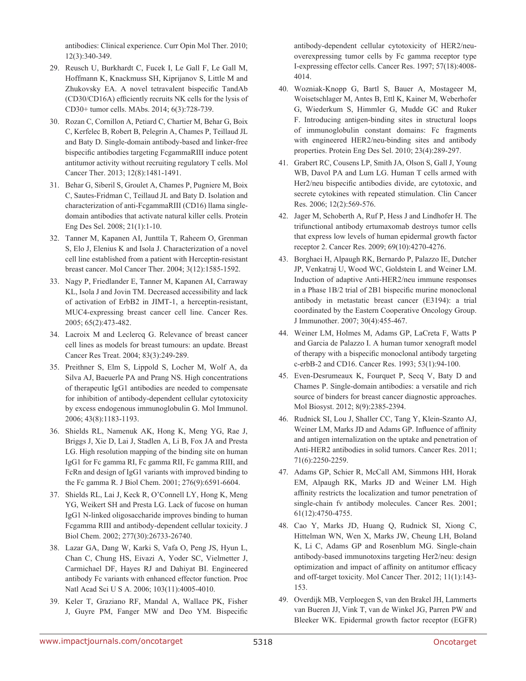antibodies: Clinical experience. Curr Opin Mol Ther. 2010; 12(3):340-349.

- 29. Reusch U, Burkhardt C, Fucek I, Le Gall F, Le Gall M, Hoffmann K, Knackmuss SH, Kiprijanov S, Little M and Zhukovsky EA. A novel tetravalent bispecific TandAb (CD30/CD16A) efficiently recruits NK cells for the lysis of CD30+ tumor cells. MAbs. 2014; 6(3):728-739.
- 30. Rozan C, Cornillon A, Petiard C, Chartier M, Behar G, Boix C, Kerfelec B, Robert B, Pelegrin A, Chames P, Teillaud JL and Baty D. Single-domain antibody-based and linker-free bispecific antibodies targeting FcgammaRIII induce potent antitumor activity without recruiting regulatory T cells. Mol Cancer Ther. 2013; 12(8):1481-1491.
- 31. Behar G, Siberil S, Groulet A, Chames P, Pugniere M, Boix C, Sautes-Fridman C, Teillaud JL and Baty D. Isolation and characterization of anti-FcgammaRIII (CD16) llama singledomain antibodies that activate natural killer cells. Protein Eng Des Sel. 2008; 21(1):1-10.
- 32. Tanner M, Kapanen AI, Junttila T, Raheem O, Grenman S, Elo J, Elenius K and Isola J. Characterization of a novel cell line established from a patient with Herceptin-resistant breast cancer. Mol Cancer Ther. 2004; 3(12):1585-1592.
- 33. Nagy P, Friedlander E, Tanner M, Kapanen AI, Carraway KL, Isola J and Jovin TM. Decreased accessibility and lack of activation of ErbB2 in JIMT-1, a herceptin-resistant, MUC4-expressing breast cancer cell line. Cancer Res. 2005; 65(2):473-482.
- 34. Lacroix M and Leclercq G. Relevance of breast cancer cell lines as models for breast tumours: an update. Breast Cancer Res Treat. 2004; 83(3):249-289.
- 35. Preithner S, Elm S, Lippold S, Locher M, Wolf A, da Silva AJ, Baeuerle PA and Prang NS. High concentrations of therapeutic IgG1 antibodies are needed to compensate for inhibition of antibody-dependent cellular cytotoxicity by excess endogenous immunoglobulin G. Mol Immunol. 2006; 43(8):1183-1193.
- 36. Shields RL, Namenuk AK, Hong K, Meng YG, Rae J, Briggs J, Xie D, Lai J, Stadlen A, Li B, Fox JA and Presta LG. High resolution mapping of the binding site on human IgG1 for Fc gamma RI, Fc gamma RII, Fc gamma RIII, and FcRn and design of IgG1 variants with improved binding to the Fc gamma R. J Biol Chem. 2001; 276(9):6591-6604.
- 37. Shields RL, Lai J, Keck R, O'Connell LY, Hong K, Meng YG, Weikert SH and Presta LG. Lack of fucose on human IgG1 N-linked oligosaccharide improves binding to human Fcgamma RIII and antibody-dependent cellular toxicity. J Biol Chem. 2002; 277(30):26733-26740.
- 38. Lazar GA, Dang W, Karki S, Vafa O, Peng JS, Hyun L, Chan C, Chung HS, Eivazi A, Yoder SC, Vielmetter J, Carmichael DF, Hayes RJ and Dahiyat BI. Engineered antibody Fc variants with enhanced effector function. Proc Natl Acad Sci U S A. 2006; 103(11):4005-4010.
- 39. Keler T, Graziano RF, Mandal A, Wallace PK, Fisher J, Guyre PM, Fanger MW and Deo YM. Bispecific

antibody-dependent cellular cytotoxicity of HER2/neuoverexpressing tumor cells by Fc gamma receptor type I-expressing effector cells. Cancer Res. 1997; 57(18):4008- 4014.

- 40. Wozniak-Knopp G, Bartl S, Bauer A, Mostageer M, Woisetschlager M, Antes B, Ettl K, Kainer M, Weberhofer G, Wiederkum S, Himmler G, Mudde GC and Ruker F. Introducing antigen-binding sites in structural loops of immunoglobulin constant domains: Fc fragments with engineered HER2/neu-binding sites and antibody properties. Protein Eng Des Sel. 2010; 23(4):289-297.
- 41. Grabert RC, Cousens LP, Smith JA, Olson S, Gall J, Young WB, Davol PA and Lum LG. Human T cells armed with Her2/neu bispecific antibodies divide, are cytotoxic, and secrete cytokines with repeated stimulation. Clin Cancer Res. 2006; 12(2):569-576.
- 42. Jager M, Schoberth A, Ruf P, Hess J and Lindhofer H. The trifunctional antibody ertumaxomab destroys tumor cells that express low levels of human epidermal growth factor receptor 2. Cancer Res. 2009; 69(10):4270-4276.
- 43. Borghaei H, Alpaugh RK, Bernardo P, Palazzo IE, Dutcher JP, Venkatraj U, Wood WC, Goldstein L and Weiner LM. Induction of adaptive Anti-HER2/neu immune responses in a Phase 1B/2 trial of 2B1 bispecific murine monoclonal antibody in metastatic breast cancer (E3194): a trial coordinated by the Eastern Cooperative Oncology Group. J Immunother. 2007; 30(4):455-467.
- 44. Weiner LM, Holmes M, Adams GP, LaCreta F, Watts P and Garcia de Palazzo I. A human tumor xenograft model of therapy with a bispecific monoclonal antibody targeting c-erbB-2 and CD16. Cancer Res. 1993; 53(1):94-100.
- 45. Even-Desrumeaux K, Fourquet P, Secq V, Baty D and Chames P. Single-domain antibodies: a versatile and rich source of binders for breast cancer diagnostic approaches. Mol Biosyst. 2012; 8(9):2385-2394.
- 46. Rudnick SI, Lou J, Shaller CC, Tang Y, Klein-Szanto AJ, Weiner LM, Marks JD and Adams GP. Influence of affinity and antigen internalization on the uptake and penetration of Anti-HER2 antibodies in solid tumors. Cancer Res. 2011; 71(6):2250-2259.
- 47. Adams GP, Schier R, McCall AM, Simmons HH, Horak EM, Alpaugh RK, Marks JD and Weiner LM. High affinity restricts the localization and tumor penetration of single-chain fv antibody molecules. Cancer Res. 2001; 61(12):4750-4755.
- 48. Cao Y, Marks JD, Huang Q, Rudnick SI, Xiong C, Hittelman WN, Wen X, Marks JW, Cheung LH, Boland K, Li C, Adams GP and Rosenblum MG. Single-chain antibody-based immunotoxins targeting Her2/neu: design optimization and impact of affinity on antitumor efficacy and off-target toxicity. Mol Cancer Ther. 2012; 11(1):143- 153.
- 49. Overdijk MB, Verploegen S, van den Brakel JH, Lammerts van Bueren JJ, Vink T, van de Winkel JG, Parren PW and Bleeker WK. Epidermal growth factor receptor (EGFR)